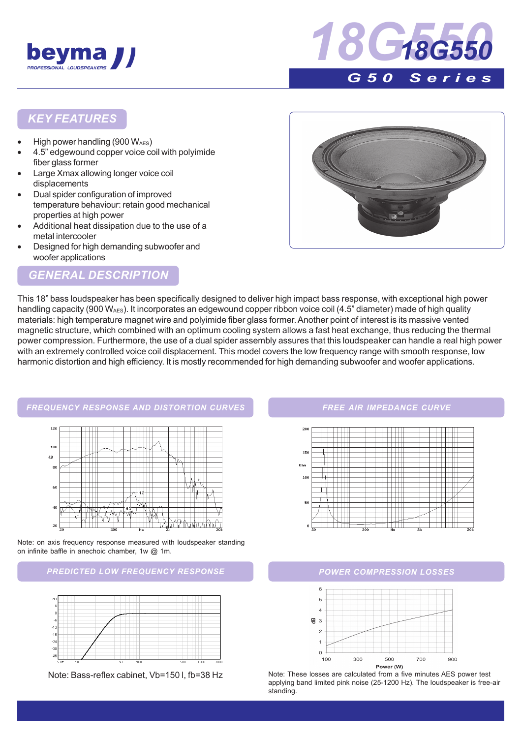



#### *KEY FEATURES*

- High power handling (900  $W_{\text{AES}}$ )
- 4.5" edgewound copper voice coil with polyimide fiber glass former
- Large Xmax allowing longer voice coil displacements
- Dual spider configuration of improved temperature behaviour: retain good mechanical properties at high power
- Additional heat dissipation due to the use of a metal intercooler
- Designed for high demanding subwoofer and woofer applications

# *GENERAL DESCRIPTION*



This 18" bass loudspeaker has been specifically designed to deliver high impact bass response, with exceptional high power handling capacity (900 W<sub>AES</sub>). It incorporates an edgewound copper ribbon voice coil (4.5" diameter) made of high quality materials: high temperature magnet wire and polyimide fiber glass former. Another point of interest is its massive vented magnetic structure, which combined with an optimum cooling system allows a fast heat exchange, thus reducing the thermal power compression. Furthermore, the use of a dual spider assembly assures that this loudspeaker can handle a real high power with an extremely controlled voice coil displacement. This model covers the low frequency range with smooth response, low harmonic distortion and high efficiency. It is mostly recommended for high demanding subwoofer and woofer applications.



Note: on axis frequency response measured with loudspeaker standing on infinite baffle in anechoic chamber, 1w @ 1m.

#### *PREDICTED LOW FREQUENCY RESPONSE POWER COMPRESSION LOSSES*



#### *FREE AIR IMPEDANCE CURVE*





Note: Bass-reflex cabinet, Vb=150 l, fb=38 Hz Note: These losses are calculated from a five minutes AES power test applying band limited pink noise (25-1200 Hz). The loudspeaker is free-air standing.